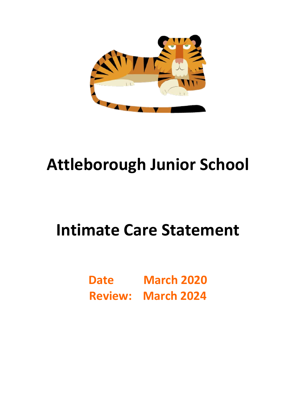

# **Attleborough Junior School**

## **Intimate Care Statement**

**Date March 2020 Review: March 2024**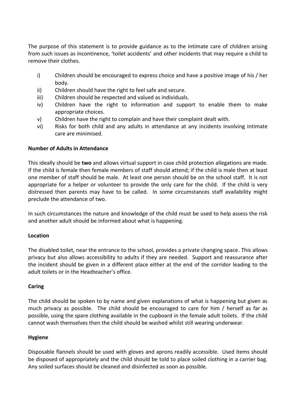The purpose of this statement is to provide guidance as to the intimate care of children arising from such issues as incontinence, 'toilet accidents' and other incidents that may require a child to remove their clothes.

- i) Children should be encouraged to express choice and have a positive image of his / her body.
- ii) Children should have the right to feel safe and secure.
- iii) Children should be respected and valued as individuals.
- iv) Children have the right to information and support to enable them to make appropriate choices.
- v) Children have the right to complain and have their complaint dealt with.
- vi) Risks for both child and any adults in attendance at any incidents involving intimate care are minimised.

#### **Number of Adults in Attendance**

This ideally should be **two** and allows virtual support in case child protection allegations are made. If the child is female then female members of staff should attend; if the child is male then at least one member of staff should be male. At least one person should be on the school staff. It is not appropriate for a helper or volunteer to provide the only care for the child. If the child is very distressed then parents may have to be called. In some circumstances staff availability might preclude the attendance of two.

In such circumstances the nature and knowledge of the child must be used to help assess the risk and another adult should be informed about what is happening.

## **Location**

The disabled toilet, near the entrance to the school, provides a private changing space. This allows privacy but also allows accessibility to adults if they are needed. Support and reassurance after the incident should be given in a different place either at the end of the corridor leading to the adult toilets or in the Headteacher's office.

## **Caring**

The child should be spoken to by name and given explanations of what is happening but given as much privacy as possible. The child should be encouraged to care for him / herself as far as possible, using the spare clothing available in the cupboard in the female adult toilets. If the child cannot wash themselves then the child should be washed whilst still wearing underwear.

## **Hygiene**

Disposable flannels should be used with gloves and aprons readily accessible. Used items should be disposed of appropriately and the child should be told to place soiled clothing in a carrier bag. Any soiled surfaces should be cleaned and disinfected as soon as possible.